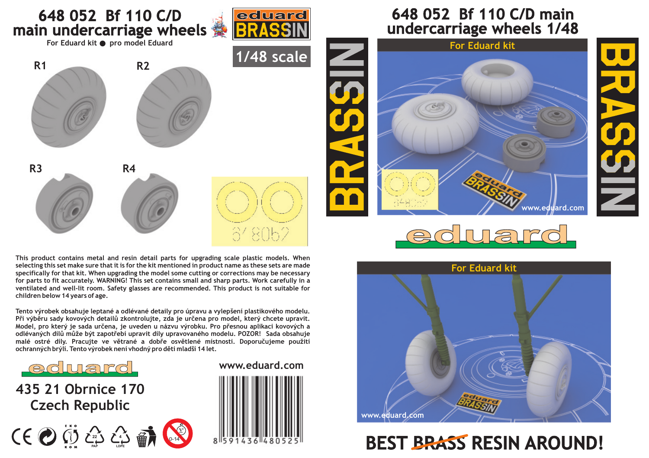

**This product contains metal and resin detail parts for upgrading scale plastic models. When selecting this set make sure that it is for the kit mentioned in product name as these sets are made specifically for that kit. When upgrading the model some cutting or corrections may be necessary for parts to fit accurately. WARNING! This set contains small and sharp parts. Work carefully in a ventilated and well-lit room. Safety glasses are recommended. This product is not suitable for children below 14 years of age.**

**Tento výrobek obsahuje leptané a odlévané detaily pro úpravu a vylepšení plastikového modelu.**  Při výběru sady kovových detailů zkontrolujte, zda je určena pro model, který chcete upravit. Model, pro který je sada určena, je uveden u názvu výrobku. Pro přesnou aplikaci kovových a odlévaných dílů může být zapotřebí upravit díly upravovaného modelu. POZOR! Sada obsahuje malé ostré díly. Pracujte ve větrané a dobře osvětlené místnosti. Doporučujeme použití ochranných brýlí. Tento výrobek není vhodný pro děti mladší 14 let.



**435 21 Obrnice 170 Czech Republic**





## **648 052 Bf 110 C/D main undercarriage wheels 1/48**